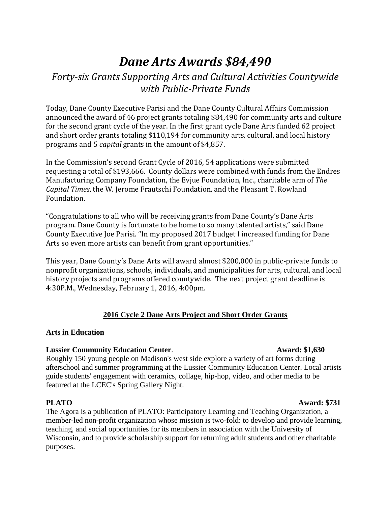# *Dane Arts Awards \$84,490*

# *Forty-six Grants Supporting Arts and Cultural Activities Countywide with Public-Private Funds*

Today, Dane County Executive Parisi and the Dane County Cultural Affairs Commission announced the award of 46 project grants totaling \$84,490 for community arts and culture for the second grant cycle of the year. In the first grant cycle Dane Arts funded 62 project and short order grants totaling \$110,194 for community arts, cultural, and local history programs and 5 *capital* grants in the amount of \$4,857.

In the Commission's second Grant Cycle of 2016, 54 applications were submitted requesting a total of \$193,666. County dollars were combined with funds from the Endres Manufacturing Company Foundation, the Evjue Foundation, Inc., charitable arm of *The Capital Times*, the W. Jerome Frautschi Foundation, and the Pleasant T. Rowland Foundation.

"Congratulations to all who will be receiving grants from Dane County's Dane Arts program. Dane County is fortunate to be home to so many talented artists," said Dane County Executive Joe Parisi. "In my proposed 2017 budget I increased funding for Dane Arts so even more artists can benefit from grant opportunities."

This year, Dane County's Dane Arts will award almost \$200,000 in public-private funds to nonprofit organizations, schools, individuals, and municipalities for arts, cultural, and local history projects and programs offered countywide. The next project grant deadline is 4:30P.M., Wednesday, February 1, 2016, 4:00pm.

# **2016 Cycle 2 Dane Arts Project and Short Order Grants**

### **Arts in Education**

# **Lussier Community Education Center. Award: \$1,630**

Roughly 150 young people on Madison's west side explore a variety of art forms during afterschool and summer programming at the Lussier Community Education Center. Local artists guide students' engagement with ceramics, collage, hip-hop, video, and other media to be featured at the LCEC's Spring Gallery Night.

# **PLATO Award: \$731**

The Agora is a publication of PLATO: Participatory Learning and Teaching Organization, a member-led non-profit organization whose mission is two-fold: to develop and provide learning, teaching, and social opportunities for its members in association with the University of Wisconsin, and to provide scholarship support for returning adult students and other charitable purposes.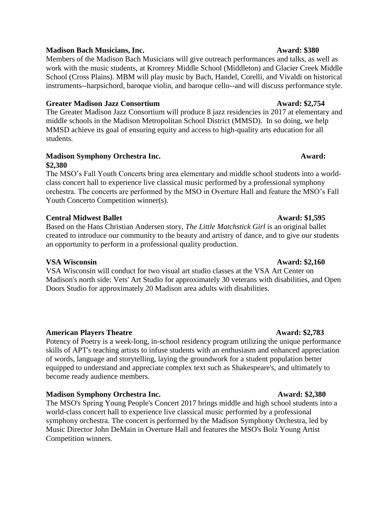### **Madison Bach Musicians, Inc. Award: \$380**

Members of the Madison Bach Musicians will give outreach performances and talks, as well as work with the music students, at Kromrey Middle School (Middleton) and Glacier Creek Middle School (Cross Plains). MBM will play music by Bach, Handel, Corelli, and Vivaldi on historical instruments--harpsichord, baroque violin, and baroque cello--and will discuss performance style.

### **Greater Madison Jazz Consortium Award: \$2,754**

The Greater Madison Jazz Consortium will produce 8 jazz residencies in 2017 at elementary and middle schools in the Madison Metropolitan School District (MMSD). In so doing, we help MMSD achieve its goal of ensuring equity and access to high-quality arts education for all students.

### **Madison Symphony Orchestra Inc. Award: \$2,380**

The MSO's Fall Youth Concerts bring area elementary and middle school students into a worldclass concert hall to experience live classical music performed by a professional symphony orchestra. The concerts are performed by the MSO in Overture Hall and feature the MSO's Fall Youth Concerto Competition winner(s).

### **Central Midwest Ballet Award: \$1,595**

Based on the Hans Christian Andersen story, *The Little Matchstick Girl* is an original ballet created to introduce our community to the beauty and artistry of dance, and to give our students an opportunity to perform in a professional quality production.

# **VSA Wisconsin Award: \$2,160**

VSA Wisconsin will conduct for two visual art studio classes at the VSA Art Center on Madison's north side: Vets' Art Studio for approximately 30 veterans with disabilities, and Open Doors Studio for approximately 20 Madison area adults with disabilities.

# **American Players Theatre Award: \$2,783**

Potency of Poetry is a week-long, in-school residency program utilizing the unique performance skills of APT's teaching artists to infuse students with an enthusiasm and enhanced appreciation of words, language and storytelling, laying the groundwork for a student population better equipped to understand and appreciate complex text such as Shakespeare's, and ultimately to become ready audience members.

# **Madison Symphony Orchestra Inc.** Award: \$2,380

The MSO's Spring Young People's Concert 2017 brings middle and high school students into a world-class concert hall to experience live classical music performed by a professional symphony orchestra. The concert is performed by the Madison Symphony Orchestra, led by Music Director John DeMain in Overture Hall and features the MSO's Bolz Young Artist Competition winners.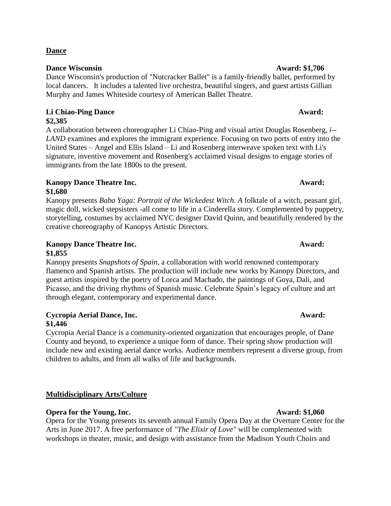# **Kanopy Dance Theatre Inc. Award: \$1,680**

Kanopy presents *Baba Yaga: Portrait of the Wickedest Witch. A* folktale of a witch, peasant girl, magic doll, wicked stepsisters -all come to life in a Cinderella story. Complemented by puppetry, storytelling, costumes by acclaimed NYC designer David Quinn, and beautifully rendered by the creative choreography of Kanopys Artistic Directors.

# **Kanopy Dance Theatre Inc. Award: \$1,855**

Kanopy presents *Snapshots of Spain*, a collaboration with world renowned contemporary flamenco and Spanish artists. The production will include new works by Kanopy Directors, and guest artists inspired by the poetry of Lorca and Machado, the paintings of Goya, Dali, and Picasso, and the driving rhythms of Spanish music. Celebrate Spain's legacy of culture and art through elegant, contemporary and experimental dance.

# **Cycropia Aerial Dance, Inc. Award: \$1,446**

Cycropia Aerial Dance is a community-oriented organization that encourages people, of Dane County and beyond, to experience a unique form of dance. Their spring show production will include new and existing aerial dance works. Audience members represent a diverse group, from children to adults, and from all walks of life and backgrounds.

# **Multidisciplinary Arts/Culture**

# **Opera for the Young, Inc.** Award: \$1,060

Opera for the Young presents its seventh annual Family Opera Day at the Overture Center for the Arts in June 2017. A free performance of *"The Elixir of Love"* will be complemented with workshops in theater, music, and design with assistance from the Madison Youth Choirs and

# **Dance**

# **Dance Wisconsin Award: \$1,706**

Dance Wisconsin's production of "Nutcracker Ballet" is a family-friendly ballet, performed by local dancers. It includes a talented live orchestra, beautiful singers, and guest artists Gillian Murphy and James Whiteside courtesy of American Ballet Theatre.

### **Li Chiao-Ping Dance Award: \$2,385**

A collaboration between choreographer Li Chiao-Ping and visual artist Douglas Rosenberg, *i-- LAND* examines and explores the immigrant experience. Focusing on two ports of entry into the United States – Angel and Ellis Island – Li and Rosenberg interweave spoken text with Li's signature, inventive movement and Rosenberg's acclaimed visual designs to engage stories of immigrants from the late 1800s to the present.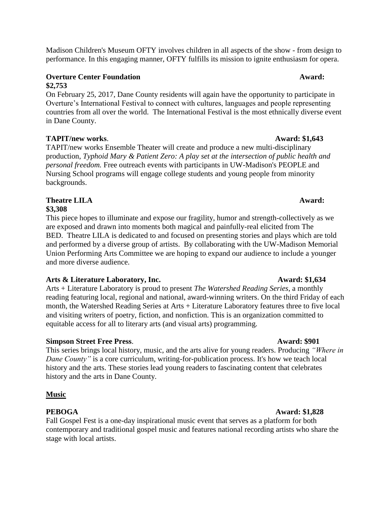Madison Children's Museum OFTY involves children in all aspects of the show - from design to performance. In this engaging manner, OFTY fulfills its mission to ignite enthusiasm for opera.

# **Overture Center Foundation Award: Award: Award: Award: Award: Award: Award: Award: Award: Award: Award: Award: Award: Award: Award: Award: Award: Award: Award: Award: Award: Awa \$2,753**

On February 25, 2017, Dane County residents will again have the opportunity to participate in Overture's International Festival to connect with cultures, languages and people representing countries from all over the world. The International Festival is the most ethnically diverse event in Dane County.

# **TAPIT/new works. Award: \$1,643 Award: \$1,643**

TAPIT/new works Ensemble Theater will create and produce a new multi-disciplinary production, *Typhoid Mary & Patient Zero: A play set at the intersection of public health and personal freedom.* Free outreach events with participants in UW-Madison's PEOPLE and Nursing School programs will engage college students and young people from minority backgrounds.

### **Theatre LILA Award: \$3,308**

This piece hopes to illuminate and expose our fragility, humor and strength-collectively as we are exposed and drawn into moments both magical and painfully-real elicited from The BED. Theatre LILA is dedicated to and focused on presenting stories and plays which are told and performed by a diverse group of artists. By collaborating with the UW-Madison Memorial Union Performing Arts Committee we are hoping to expand our audience to include a younger and more diverse audience.

# **Arts & Literature Laboratory, Inc. Award: \$1,634**

Arts + Literature Laboratory is proud to present *The Watershed Reading Series*, a monthly reading featuring local, regional and national, award-winning writers. On the third Friday of each month, the Watershed Reading Series at Arts + Literature Laboratory features three to five local and visiting writers of poetry, fiction, and nonfiction. This is an organization committed to equitable access for all to literary arts (and visual arts) programming.

# **Simpson Street Free Press**. **Award: \$901**

This series brings local history, music, and the arts alive for young readers. Producing *"Where in Dane County"* is a core curriculum, writing-for-publication process. It's how we teach local history and the arts. These stories lead young readers to fascinating content that celebrates history and the arts in Dane County.

# **Music**

# **PEBOGA Award: \$1,828**

Fall Gospel Fest is a one-day inspirational music event that serves as a platform for both contemporary and traditional gospel music and features national recording artists who share the stage with local artists.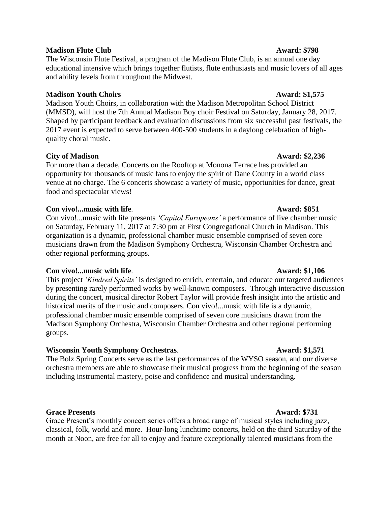### **Madison Flute Club Award: \$798**

The Wisconsin Flute Festival, a program of the Madison Flute Club, is an annual one day educational intensive which brings together flutists, flute enthusiasts and music lovers of all ages and ability levels from throughout the Midwest.

### **Madison Youth Choirs Award: \$1,575**

Madison Youth Choirs, in collaboration with the Madison Metropolitan School District (MMSD), will host the 7th Annual Madison Boy choir Festival on Saturday, January 28, 2017. Shaped by participant feedback and evaluation discussions from six successful past festivals, the 2017 event is expected to serve between 400-500 students in a daylong celebration of highquality choral music.

### **City of Madison** Award: \$2,236

For more than a decade, Concerts on the Rooftop at Monona Terrace has provided an opportunity for thousands of music fans to enjoy the spirit of Dane County in a world class venue at no charge. The 6 concerts showcase a variety of music, opportunities for dance, great food and spectacular views!

### **Con vivo!...music with life**. **Award: \$851**

Con vivo!...music with life presents *'Capitol Europeans'* a performance of live chamber music on Saturday, February 11, 2017 at 7:30 pm at First Congregational Church in Madison. This organization is a dynamic, professional chamber music ensemble comprised of seven core musicians drawn from the Madison Symphony Orchestra, Wisconsin Chamber Orchestra and other regional performing groups.

### **Con vivo!...music with life**. **Award: \$1,106**

This project *'Kindred Spirits'* is designed to enrich, entertain, and educate our targeted audiences by presenting rarely performed works by well-known composers. Through interactive discussion during the concert, musical director Robert Taylor will provide fresh insight into the artistic and historical merits of the music and composers. Con vivo!...music with life is a dynamic, professional chamber music ensemble comprised of seven core musicians drawn from the Madison Symphony Orchestra, Wisconsin Chamber Orchestra and other regional performing groups.

# **Wisconsin Youth Symphony Orchestras. Award: \$1,571**

The Bolz Spring Concerts serve as the last performances of the WYSO season, and our diverse orchestra members are able to showcase their musical progress from the beginning of the season including instrumental mastery, poise and confidence and musical understanding.

### **Grace Presents Award: \$731**

Grace Present's monthly concert series offers a broad range of musical styles including jazz, classical, folk, world and more. Hour-long lunchtime concerts, held on the third Saturday of the month at Noon, are free for all to enjoy and feature exceptionally talented musicians from the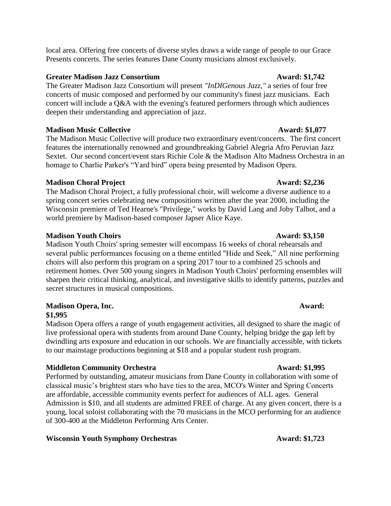local area. Offering free concerts of diverse styles draws a wide range of people to our Grace Presents concerts. The series features Dane County musicians almost exclusively.

### **Greater Madison Jazz Consortium Award: \$1,742**

The Greater Madison Jazz Consortium will present *"InDIGenous Jazz,"* a series of four free concerts of music composed and performed by our community's finest jazz musicians. Each concert will include a Q&A with the evening's featured performers through which audiences deepen their understanding and appreciation of jazz.

# **Madison Music Collective Award: \$1,077**

The Madison Music Collective will produce two extraordinary event/concerts. The first concert features the internationally renowned and groundbreaking Gabriel Alegria Afro Peruvian Jazz Sextet. Our second concert/event stars Richie Cole & the Madison Alto Madness Orchestra in an homage to Charlie Parker's "Yard bird" opera being presented by Madison Opera.

### **Madison Choral Project Award: \$2,236**

The Madison Choral Project, a fully professional choir, will welcome a diverse audience to a spring concert series celebrating new compositions written after the year 2000, including the Wisconsin premiere of Ted Hearne's "Privilege," works by David Lang and Joby Talbot, and a world premiere by Madison-based composer Japser Alice Kaye.

### **Madison Youth Choirs Award: \$3,150**

Madison Youth Choirs' spring semester will encompass 16 weeks of choral rehearsals and several public performances focusing on a theme entitled "Hide and Seek," All nine performing choirs will also perform this program on a spring 2017 tour to a combined 25 schools and retirement homes. Over 500 young singers in Madison Youth Choirs' performing ensembles will sharpen their critical thinking, analytical, and investigative skills to identify patterns, puzzles and secret structures in musical compositions.

# **Madison Opera, Inc. Award:**

### **\$1,995**

Madison Opera offers a range of youth engagement activities, all designed to share the magic of live professional opera with students from around Dane County, helping bridge the gap left by dwindling arts exposure and education in our schools. We are financially accessible, with tickets to our mainstage productions beginning at \$18 and a popular student rush program.

# **Middleton Community Orchestra Award: \$1,995**

Performed by outstanding, amateur musicians from Dane County in collaboration with some of classical music's brightest stars who have ties to the area, MCO's Winter and Spring Concerts are affordable, accessible community events perfect for audiences of ALL ages. General Admission is \$10, and all students are admitted FREE of charge. At any given concert, there is a young, local soloist collaborating with the 70 musicians in the MCO performing for an audience of 300-400 at the Middleton Performing Arts Center.

# **Wisconsin Youth Symphony Orchestras Award: \$1,723**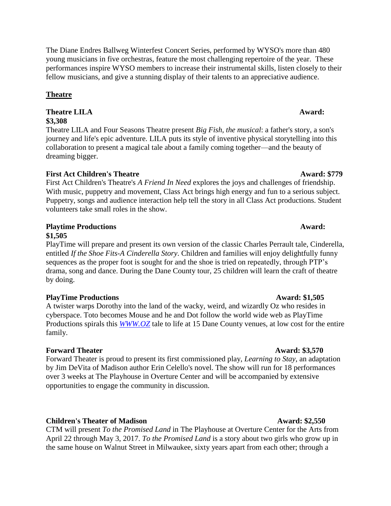The Diane Endres Ballweg Winterfest Concert Series, performed by WYSO's more than 480 young musicians in five orchestras, feature the most challenging repertoire of the year. These performances inspire WYSO members to increase their instrumental skills, listen closely to their fellow musicians, and give a stunning display of their talents to an appreciative audience.

# **Theatre**

# **Theatre LILA Award: Award: Award: Award: Award: Award: Award: Award: Award: Award: Award: Award: Award: Award: Award: Award: Award: Award: Award: Award: Award: Award: Award: \$3,308**

Theatre LILA and Four Seasons Theatre present *Big Fish, the musical*: a father's story, a son's journey and life's epic adventure. LILA puts its style of inventive physical storytelling into this collaboration to present a magical tale about a family coming together—and the beauty of dreaming bigger.

# **First Act Children's Theatre Award: \$779**

First Act Children's Theatre's *A Friend In Need* explores the joys and challenges of friendship. With music, puppetry and movement, Class Act brings high energy and fun to a serious subject. Puppetry, songs and audience interaction help tell the story in all Class Act productions. Student volunteers take small roles in the show.

### **Playtime Productions Award: \$1,505**

PlayTime will prepare and present its own version of the classic Charles Perrault tale, Cinderella, entitled *If the Shoe Fits-A Cinderella Story*. Children and families will enjoy delightfully funny sequences as the proper foot is sought for and the shoe is tried on repeatedly, through PTP's drama, song and dance. During the Dane County tour, 25 children will learn the craft of theatre by doing.

# **PlayTime Productions Award: \$1,505**

A twister warps Dorothy into the land of the wacky, weird, and wizardly Oz who resides in cyberspace. Toto becomes Mouse and he and Dot follow the world wide web as PlayTime Productions spirals this *[WWW.OZ](http://www.oz/)* tale to life at 15 Dane County venues, at low cost for the entire family.

# **Forward Theater Award: \$3,570**

Forward Theater is proud to present its first commissioned play, *Learning to Stay*, an adaptation by Jim DeVita of Madison author Erin Celello's novel. The show will run for 18 performances over 3 weeks at The Playhouse in Overture Center and will be accompanied by extensive opportunities to engage the community in discussion.

# **Children's Theater of Madison Award: \$2,550**

CTM will present *To the Promised Land* in The Playhouse at Overture Center for the Arts from April 22 through May 3, 2017. *To the Promised Land* is a story about two girls who grow up in the same house on Walnut Street in Milwaukee, sixty years apart from each other; through a